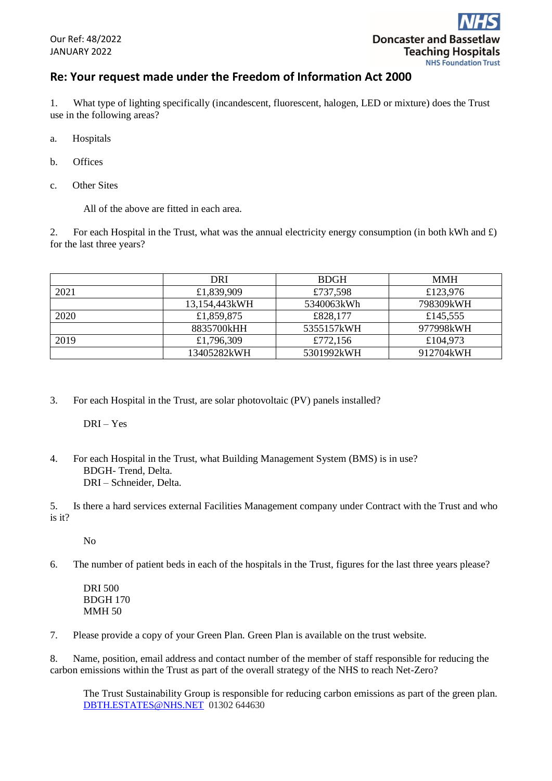## **Re: Your request made under the Freedom of Information Act 2000**

1. What type of lighting specifically (incandescent, fluorescent, halogen, LED or mixture) does the Trust use in the following areas?

- a. Hospitals
- b. Offices
- c. Other Sites

All of the above are fitted in each area.

2. For each Hospital in the Trust, what was the annual electricity energy consumption (in both kWh and  $\pounds$ ) for the last three years?

|      | DRI           | <b>BDGH</b> | <b>MMH</b> |
|------|---------------|-------------|------------|
| 2021 | £1,839,909    | £737,598    | £123,976   |
|      | 13,154,443kWH | 5340063kWh  | 798309kWH  |
| 2020 | £1,859,875    | £828,177    | £145,555   |
|      | 8835700kHH    | 5355157kWH  | 977998kWH  |
| 2019 | £1,796,309    | £772,156    | £104,973   |
|      | 13405282kWH   | 5301992kWH  | 912704kWH  |

3. For each Hospital in the Trust, are solar photovoltaic (PV) panels installed?

DRI – Yes

4. For each Hospital in the Trust, what Building Management System (BMS) is in use? BDGH- Trend, Delta. DRI – Schneider, Delta.

5. Is there a hard services external Facilities Management company under Contract with the Trust and who is it?

No

6. The number of patient beds in each of the hospitals in the Trust, figures for the last three years please?

DRI 500 BDGH 170 MMH 50

7. Please provide a copy of your Green Plan. Green Plan is available on the trust website.

8. Name, position, email address and contact number of the member of staff responsible for reducing the carbon emissions within the Trust as part of the overall strategy of the NHS to reach Net-Zero?

The Trust Sustainability Group is responsible for reducing carbon emissions as part of the green plan. [DBTH.ESTATES@NHS.NET](mailto:DBTH.ESTATES@NHS.NET) 01302 644630